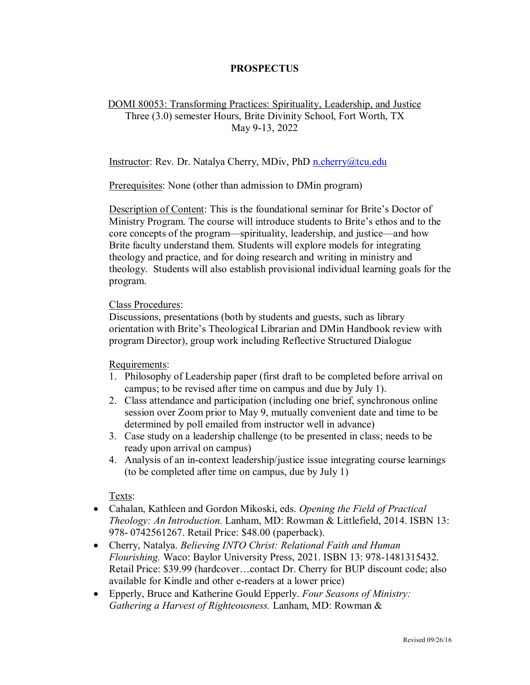## **PROSPECTUS**

## DOMI 80053: Transforming Practices: Spirituality, Leadership, and Justice Three (3.0) semester Hours, Brite Divinity School, Fort Worth, TX May 9-13, 2022

## Instructor: Rev. Dr. Natalya Cherry, MDiv, PhD [n.cherry@tcu.edu](mailto:n.cherry@tcu.edu)

Prerequisites: None (other than admission to DMin program)

Description of Content: This is the foundational seminar for Brite's Doctor of Ministry Program. The course will introduce students to Brite's ethos and to the core concepts of the program—spirituality, leadership, and justice—and how Brite faculty understand them. Students will explore models for integrating theology and practice, and for doing research and writing in ministry and theology. Students will also establish provisional individual learning goals for the program.

## Class Procedures:

Discussions, presentations (both by students and guests, such as library orientation with Brite's Theological Librarian and DMin Handbook review with program Director), group work including Reflective Structured Dialogue

Requirements:

- 1. Philosophy of Leadership paper (first draft to be completed before arrival on campus; to be revised after time on campus and due by July 1).
- 2. Class attendance and participation (including one brief, synchronous online session over Zoom prior to May 9, mutually convenient date and time to be determined by poll emailed from instructor well in advance)
- 3. Case study on a leadership challenge (to be presented in class; needs to be ready upon arrival on campus)
- 4. Analysis of an in-context leadership/justice issue integrating course learnings (to be completed after time on campus, due by July 1)

Texts:

- Cahalan, Kathleen and Gordon Mikoski, eds. *Opening the Field of Practical Theology: An Introduction.* Lanham, MD: Rowman & Littlefield, 2014. ISBN 13: 978- 0742561267. Retail Price: \$48.00 (paperback).
- Cherry, Natalya. *Believing INTO Christ: Relational Faith and Human Flourishing.* Waco: Baylor University Press, 2021. ISBN 13: 978-1481315432. Retail Price: \$39.99 (hardcover…contact Dr. Cherry for BUP discount code; also available for Kindle and other e-readers at a lower price)
- Epperly, Bruce and Katherine Gould Epperly. *Four Seasons of Ministry: Gathering a Harvest of Righteousness.* Lanham, MD: Rowman &